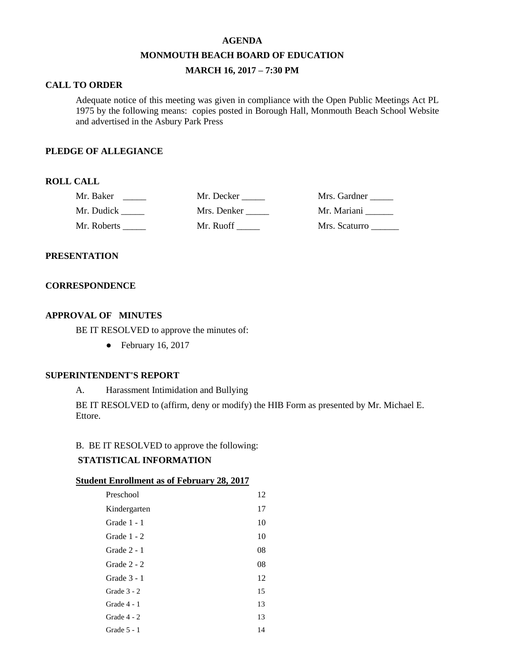#### **AGENDA**

#### **MONMOUTH BEACH BOARD OF EDUCATION**

# **MARCH 16, 2017 – 7:30 PM**

## **CALL TO ORDER**

Adequate notice of this meeting was given in compliance with the Open Public Meetings Act PL 1975 by the following means: copies posted in Borough Hall, Monmouth Beach School Website and advertised in the Asbury Park Press

#### **PLEDGE OF ALLEGIANCE**

## **ROLL CALL**

| Mr. Baker   | Mr. Decker  | Mrs. Gardner  |
|-------------|-------------|---------------|
| Mr. Dudick  | Mrs. Denker | Mr. Mariani   |
| Mr. Roberts | Mr. Ruoff   | Mrs. Scaturro |

#### **PRESENTATION**

#### **CORRESPONDENCE**

## **APPROVAL OF MINUTES**

BE IT RESOLVED to approve the minutes of:

 $\bullet$  February 16, 2017

## **SUPERINTENDENT'S REPORT**

A. Harassment Intimidation and Bullying

BE IT RESOLVED to (affirm, deny or modify) the HIB Form as presented by Mr. Michael E. Ettore.

### B. BE IT RESOLVED to approve the following:

## **STATISTICAL INFORMATION**

#### **Student Enrollment as of February 28, 2017**

| Preschool     | 12 |
|---------------|----|
| Kindergarten  | 17 |
| Grade 1 - 1   | 10 |
| Grade 1 - 2   | 10 |
| Grade 2 - 1   | 08 |
| Grade 2 - 2   | 08 |
| Grade $3 - 1$ | 12 |
| Grade $3 - 2$ | 15 |
| Grade 4 - 1   | 13 |
| Grade 4 - 2   | 13 |
| Grade $5 - 1$ | 14 |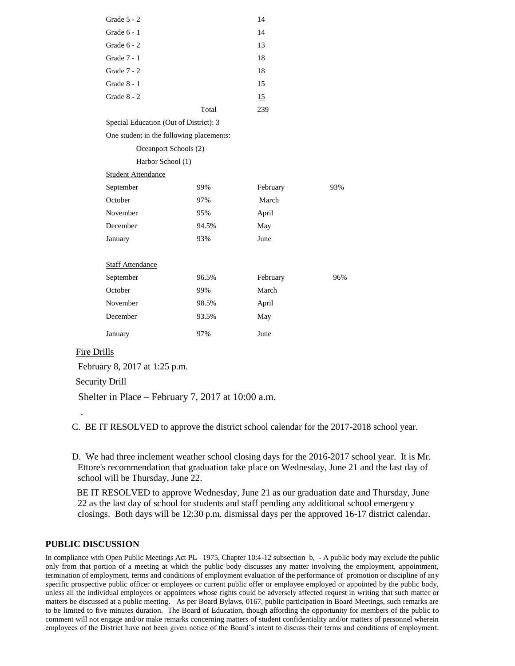| Grade 5 - 2                              |       | 14       |     |
|------------------------------------------|-------|----------|-----|
| Grade 6 - 1                              |       | 14       |     |
| Grade 6 - 2                              |       | 13       |     |
| Grade 7 - 1                              |       | 18       |     |
| Grade 7 - 2                              |       | 18       |     |
| Grade $8 - 1$                            |       | 15       |     |
| Grade 8 - 2                              |       | 15       |     |
|                                          | Total | 239      |     |
| Special Education (Out of District): 3   |       |          |     |
| One student in the following placements: |       |          |     |
| Oceanport Schools (2)                    |       |          |     |
| Harbor School (1)                        |       |          |     |
| <b>Student Attendance</b>                |       |          |     |
| September                                | 99%   | February | 93% |
| October                                  | 97%   | March    |     |
| November                                 | 95%   | April    |     |
| December                                 | 94.5% | May      |     |
| January                                  | 93%   | June     |     |
|                                          |       |          |     |
| <b>Staff Attendance</b>                  |       |          |     |
| September                                | 96.5% | February | 96% |
| October                                  | 99%   | March    |     |
| November                                 | 98.5% | April    |     |
| December                                 | 93.5% | May      |     |
| January                                  | 97%   | June     |     |
|                                          |       |          |     |

#### Fire Drills

.

February 8, 2017 at 1:25 p.m.

Security Drill

Shelter in Place – February 7, 2017 at 10:00 a.m.

C. BE IT RESOLVED to approve the district school calendar for the 2017-2018 school year.

D. We had three inclement weather school closing days for the 2016-2017 school year. It is Mr. Ettore's recommendation that graduation take place on Wednesday, June 21 and the last day of school will be Thursday, June 22.

 BE IT RESOLVED to approve Wednesday, June 21 as our graduation date and Thursday, June 22 as the last day of school for students and staff pending any additional school emergency closings. Both days will be 12:30 p.m. dismissal days per the approved 16-17 district calendar.

## **PUBLIC DISCUSSION**

In compliance with Open Public Meetings Act PL 1975, Chapter 10:4-12 subsection b, - A public body may exclude the public only from that portion of a meeting at which the public body discusses any matter involving the employment, appointment, termination of employment, terms and conditions of employment evaluation of the performance of promotion or discipline of any specific prospective public officer or employees or current public offer or employee employed or appointed by the public body, unless all the individual employees or appointees whose rights could be adversely affected request in writing that such matter or matters be discussed at a public meeting. As per Board Bylaws, 0167, public participation in Board Meetings, such remarks are to be limited to five minutes duration. The Board of Education, though affording the opportunity for members of the public to comment will not engage and/or make remarks concerning matters of student confidentiality and/or matters of personnel wherein employees of the District have not been given notice of the Board's intent to discuss their terms and conditions of employment.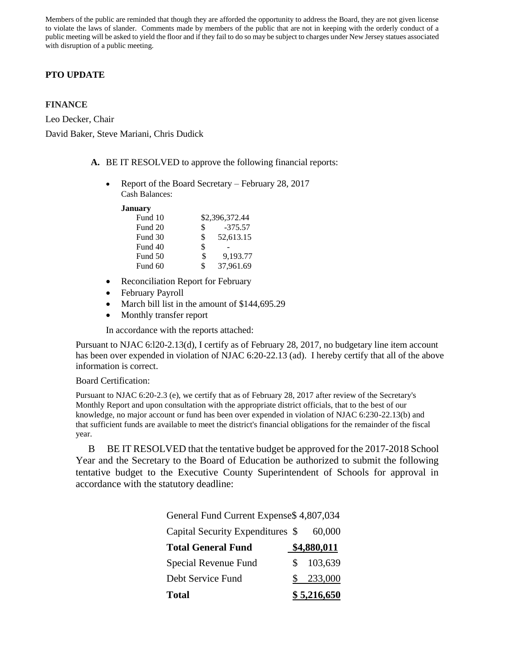Members of the public are reminded that though they are afforded the opportunity to address the Board, they are not given license to violate the laws of slander. Comments made by members of the public that are not in keeping with the orderly conduct of a public meeting will be asked to yield the floor and if they fail to do so may be subject to charges under New Jersey statues associated with disruption of a public meeting.

# **PTO UPDATE**

## **FINANCE**

Leo Decker, Chair David Baker, Steve Mariani, Chris Dudick

- **A.** BE IT RESOLVED to approve the following financial reports:
	- Report of the Board Secretary February 28, 2017 Cash Balances:

**January**

| Fund 10 | \$2,396,372.44  |
|---------|-----------------|
| Fund 20 | \$<br>$-375.57$ |
| Fund 30 | \$<br>52,613.15 |
| Fund 40 | \$              |
| Fund 50 | \$<br>9.193.77  |
| Fund 60 | \$<br>37,961.69 |
|         |                 |

- Reconciliation Report for February
- February Payroll
- March bill list in the amount of \$144,695.29
- Monthly transfer report

In accordance with the reports attached:

Pursuant to NJAC 6:l20-2.13(d), I certify as of February 28, 2017, no budgetary line item account has been over expended in violation of NJAC 6:20-22.13 (ad). I hereby certify that all of the above information is correct.

#### Board Certification:

Pursuant to NJAC 6:20-2.3 (e), we certify that as of February 28, 2017 after review of the Secretary's Monthly Report and upon consultation with the appropriate district officials, that to the best of our knowledge, no major account or fund has been over expended in violation of NJAC 6:230-22.13(b) and that sufficient funds are available to meet the district's financial obligations for the remainder of the fiscal year.

 B BE IT RESOLVED that the tentative budget be approved for the 2017-2018 School Year and the Secretary to the Board of Education be authorized to submit the following tentative budget to the Executive County Superintendent of Schools for approval in accordance with the statutory deadline:

| General Fund Current Expense \$4,807,034 |               |             |  |  |
|------------------------------------------|---------------|-------------|--|--|
| Capital Security Expenditures \$         |               | 60,000      |  |  |
| <b>Total General Fund</b>                |               | \$4,880,011 |  |  |
| Special Revenue Fund                     | <sup>\$</sup> | 103,639     |  |  |
| Debt Service Fund                        | SS.           | 233,000     |  |  |
| <b>Total</b>                             |               | \$5,216,650 |  |  |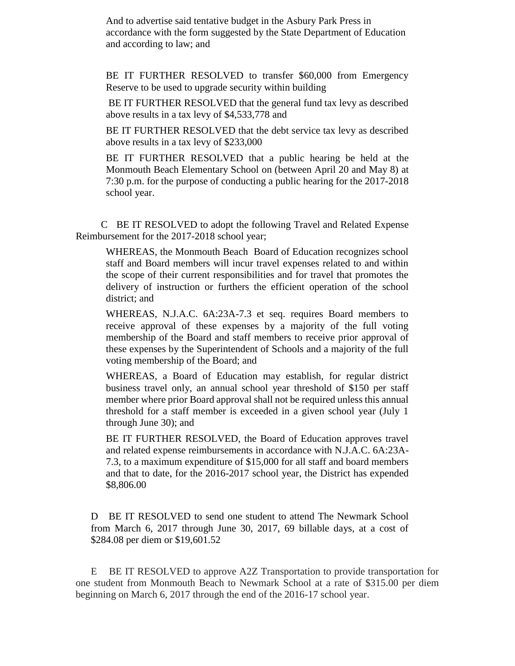And to advertise said tentative budget in the Asbury Park Press in accordance with the form suggested by the State Department of Education and according to law; and

BE IT FURTHER RESOLVED to transfer \$60,000 from Emergency Reserve to be used to upgrade security within building

BE IT FURTHER RESOLVED that the general fund tax levy as described above results in a tax levy of \$4,533,778 and

BE IT FURTHER RESOLVED that the debt service tax levy as described above results in a tax levy of \$233,000

BE IT FURTHER RESOLVED that a public hearing be held at the Monmouth Beach Elementary School on (between April 20 and May 8) at 7:30 p.m. for the purpose of conducting a public hearing for the 2017-2018 school year.

 CBE IT RESOLVED to adopt the following Travel and Related Expense Reimbursement for the 2017-2018 school year;

WHEREAS, the Monmouth Beach Board of Education recognizes school staff and Board members will incur travel expenses related to and within the scope of their current responsibilities and for travel that promotes the delivery of instruction or furthers the efficient operation of the school district; and

WHEREAS, N.J.A.C. 6A:23A-7.3 et seq. requires Board members to receive approval of these expenses by a majority of the full voting membership of the Board and staff members to receive prior approval of these expenses by the Superintendent of Schools and a majority of the full voting membership of the Board; and

WHEREAS, a Board of Education may establish, for regular district business travel only, an annual school year threshold of \$150 per staff member where prior Board approval shall not be required unless this annual threshold for a staff member is exceeded in a given school year (July 1 through June 30); and

BE IT FURTHER RESOLVED, the Board of Education approves travel and related expense reimbursements in accordance with N.J.A.C. 6A:23A-7.3, to a maximum expenditure of \$15,000 for all staff and board members and that to date, for the 2016-2017 school year, the District has expended \$8,806.00

DBE IT RESOLVED to send one student to attend The Newmark School from March 6, 2017 through June 30, 2017, 69 billable days, at a cost of \$284.08 per diem or \$19,601.52

 EBE IT RESOLVED to approve A2Z Transportation to provide transportation for one student from Monmouth Beach to Newmark School at a rate of \$315.00 per diem beginning on March 6, 2017 through the end of the 2016-17 school year.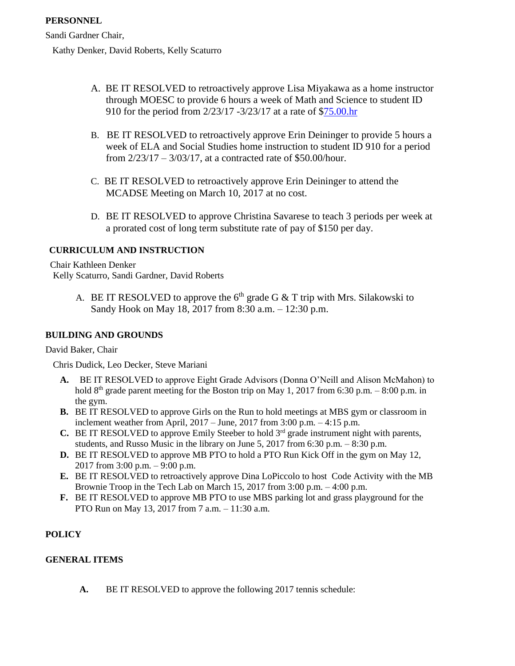Sandi Gardner Chair,

Kathy Denker, David Roberts, Kelly Scaturro

- A. BE IT RESOLVED to retroactively approve Lisa Miyakawa as a home instructor through MOESC to provide 6 hours a week of Math and Science to student ID 910 for the period from 2/23/17 -3/23/17 at a rate of [\\$75.00.hr](http://75.00.hr/)
- B. BE IT RESOLVED to retroactively approve Erin Deininger to provide 5 hours a week of ELA and Social Studies home instruction to student ID 910 for a period from 2/23/17 – 3/03/17, at a contracted rate of \$50.00/hour.
- C. BE IT RESOLVED to retroactively approve Erin Deininger to attend the MCADSE Meeting on March 10, 2017 at no cost.
- D. BE IT RESOLVED to approve Christina Savarese to teach 3 periods per week at a prorated cost of long term substitute rate of pay of \$150 per day.

# **CURRICULUM AND INSTRUCTION**

Chair Kathleen Denker Kelly Scaturro, Sandi Gardner, David Roberts

> A. BE IT RESOLVED to approve the  $6<sup>th</sup>$  grade G & T trip with Mrs. Silakowski to Sandy Hook on May 18, 2017 from 8:30 a.m. – 12:30 p.m.

# **BUILDING AND GROUNDS**

David Baker, Chair

Chris Dudick, Leo Decker, Steve Mariani

- **A.** BE IT RESOLVED to approve Eight Grade Advisors (Donna O'Neill and Alison McMahon) to hold  $8<sup>th</sup>$  grade parent meeting for the Boston trip on May 1, 2017 from 6:30 p.m. – 8:00 p.m. in the gym.
- **B.** BE IT RESOLVED to approve Girls on the Run to hold meetings at MBS gym or classroom in inclement weather from April,  $2017 - June$ ,  $2017$  from  $3:00$  p.m.  $-4:15$  p.m.
- **C.** BE IT RESOLVED to approve Emily Steeber to hold  $3<sup>rd</sup>$  grade instrument night with parents, students, and Russo Music in the library on June 5, 2017 from 6:30 p.m. – 8:30 p.m.
- **D.** BE IT RESOLVED to approve MB PTO to hold a PTO Run Kick Off in the gym on May 12, 2017 from 3:00 p.m. – 9:00 p.m.
- **E.** BE IT RESOLVED to retroactively approve Dina LoPiccolo to host Code Activity with the MB Brownie Troop in the Tech Lab on March 15, 2017 from 3:00 p.m. – 4:00 p.m.
- **F.** BE IT RESOLVED to approve MB PTO to use MBS parking lot and grass playground for the PTO Run on May 13, 2017 from 7 a.m. – 11:30 a.m.

# **POLICY**

## **GENERAL ITEMS**

**A.** BE IT RESOLVED to approve the following 2017 tennis schedule: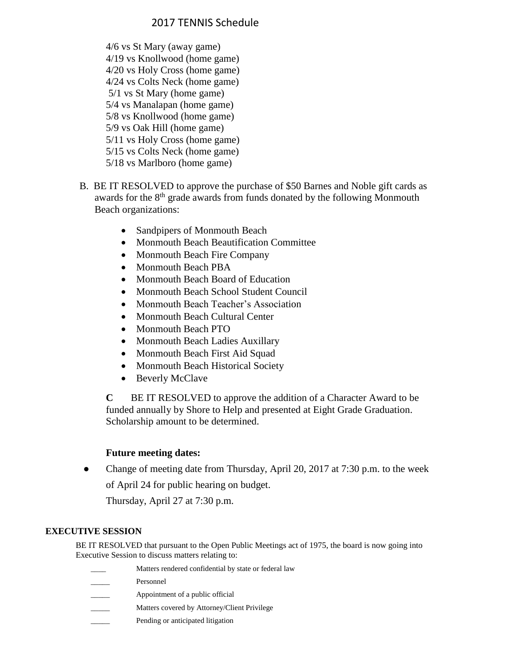# 2017 TENNIS Schedule

- 4/6 vs St Mary (away game) 4/19 vs Knollwood (home game) 4/20 vs Holy Cross (home game) 4/24 vs Colts Neck (home game) 5/1 vs St Mary (home game) 5/4 vs Manalapan (home game) 5/8 vs Knollwood (home game) 5/9 vs Oak Hill (home game) 5/11 vs Holy Cross (home game) 5/15 vs Colts Neck (home game) 5/18 vs Marlboro (home game)
- B. BE IT RESOLVED to approve the purchase of \$50 Barnes and Noble gift cards as awards for the 8<sup>th</sup> grade awards from funds donated by the following Monmouth Beach organizations:
	- Sandpipers of Monmouth Beach
	- Monmouth Beach Beautification Committee
	- Monmouth Beach Fire Company
	- Monmouth Beach PBA
	- Monmouth Beach Board of Education
	- Monmouth Beach School Student Council
	- Monmouth Beach Teacher's Association
	- Monmouth Beach Cultural Center
	- Monmouth Beach PTO
	- Monmouth Beach Ladies Auxillary
	- Monmouth Beach First Aid Squad
	- Monmouth Beach Historical Society
	- Beverly McClave

**C** BE IT RESOLVED to approve the addition of a Character Award to be funded annually by Shore to Help and presented at Eight Grade Graduation. Scholarship amount to be determined.

# **Future meeting dates:**

• Change of meeting date from Thursday, April 20, 2017 at 7:30 p.m. to the week of April 24 for public hearing on budget.

Thursday, April 27 at 7:30 p.m.

# **EXECUTIVE SESSION**

BE IT RESOLVED that pursuant to the Open Public Meetings act of 1975, the board is now going into Executive Session to discuss matters relating to:

- Matters rendered confidential by state or federal law
- Personnel
- Appointment of a public official
- Matters covered by Attorney/Client Privilege
	- Pending or anticipated litigation